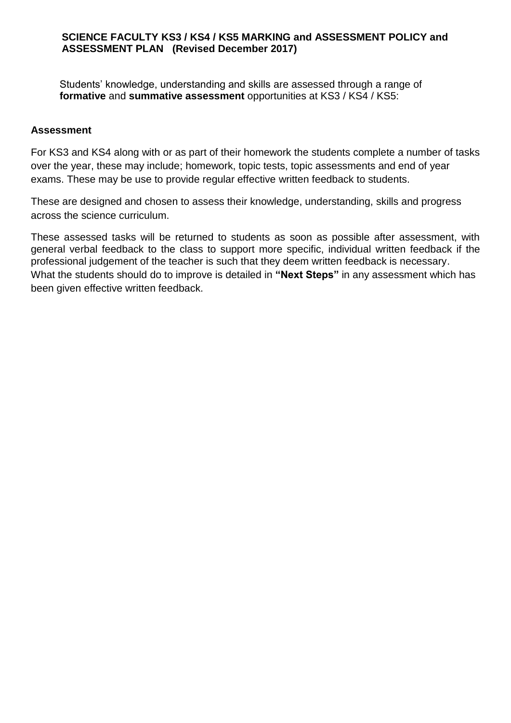### **SCIENCE FACULTY KS3 / KS4 / KS5 MARKING and ASSESSMENT POLICY and ASSESSMENT PLAN (Revised December 2017)**

Students' knowledge, understanding and skills are assessed through a range of **formative** and **summative assessment** opportunities at KS3 / KS4 / KS5:

### **Assessment**

For KS3 and KS4 along with or as part of their homework the students complete a number of tasks over the year, these may include; homework, topic tests, topic assessments and end of year exams. These may be use to provide regular effective written feedback to students.

These are designed and chosen to assess their knowledge, understanding, skills and progress across the science curriculum.

These assessed tasks will be returned to students as soon as possible after assessment, with general verbal feedback to the class to support more specific, individual written feedback if the professional judgement of the teacher is such that they deem written feedback is necessary. What the students should do to improve is detailed in **"Next Steps"** in any assessment which has been given effective written feedback.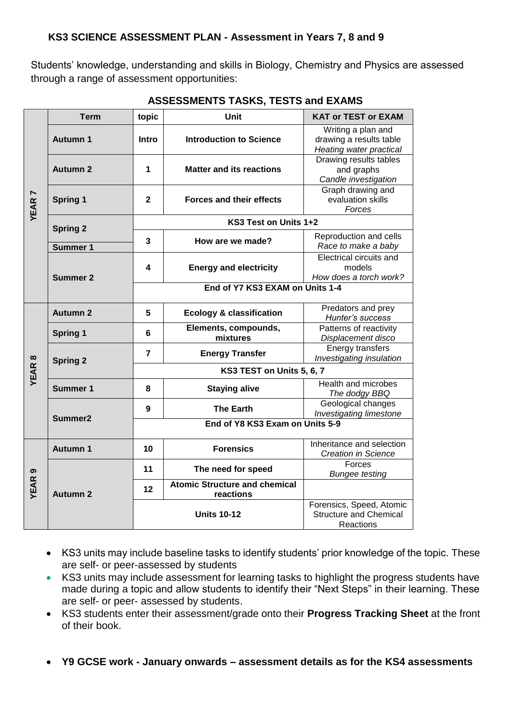Students' knowledge, understanding and skills in Biology, Chemistry and Physics are assessed through a range of assessment opportunities:

|               | <b>Term</b>         | topic                           | Unit                                              | <b>KAT or TEST or EXAM</b>                                               |  |  |  |
|---------------|---------------------|---------------------------------|---------------------------------------------------|--------------------------------------------------------------------------|--|--|--|
| <b>YEAR7</b>  | <b>Autumn 1</b>     | <b>Intro</b>                    | <b>Introduction to Science</b>                    | Writing a plan and<br>drawing a results table<br>Heating water practical |  |  |  |
|               | <b>Autumn 2</b>     | 1                               | <b>Matter and its reactions</b>                   | Drawing results tables<br>and graphs<br>Candle investigation             |  |  |  |
|               | <b>Spring 1</b>     | $\mathbf{2}$                    | <b>Forces and their effects</b>                   | Graph drawing and<br>evaluation skills<br>Forces                         |  |  |  |
|               | <b>Spring 2</b>     | KS3 Test on Units 1+2           |                                                   |                                                                          |  |  |  |
|               | <b>Summer 1</b>     | 3                               | How are we made?                                  | Reproduction and cells<br>Race to make a baby                            |  |  |  |
|               | <b>Summer 2</b>     | 4                               | <b>Energy and electricity</b>                     | Electrical circuits and<br>models<br>How does a torch work?              |  |  |  |
|               |                     | End of Y7 KS3 EXAM on Units 1-4 |                                                   |                                                                          |  |  |  |
|               | <b>Autumn 2</b>     | 5                               | <b>Ecology &amp; classification</b>               | Predators and prey<br>Hunter's success                                   |  |  |  |
|               | <b>Spring 1</b>     | 6                               | Elements, compounds,<br>mixtures                  | Patterns of reactivity<br>Displacement disco                             |  |  |  |
|               | <b>Spring 2</b>     | $\overline{7}$                  | <b>Energy Transfer</b>                            | <b>Energy transfers</b><br>Investigating insulation                      |  |  |  |
| <b>YEAR 8</b> |                     | KS3 TEST on Units 5, 6, 7       |                                                   |                                                                          |  |  |  |
|               | <b>Summer 1</b>     | 8                               | <b>Staying alive</b>                              | Health and microbes<br>The dodgy BBQ                                     |  |  |  |
|               | Summer <sub>2</sub> | 9                               | <b>The Earth</b>                                  | Geological changes<br>Investigating limestone                            |  |  |  |
|               |                     | End of Y8 KS3 Exam on Units 5-9 |                                                   |                                                                          |  |  |  |
| <b>YEAR9</b>  | <b>Autumn 1</b>     | 10                              | <b>Forensics</b>                                  | Inheritance and selection<br><b>Creation in Science</b>                  |  |  |  |
|               | <b>Autumn 2</b>     | 11                              | The need for speed                                | Forces<br><b>Bungee testing</b>                                          |  |  |  |
|               |                     | 12                              | <b>Atomic Structure and chemical</b><br>reactions |                                                                          |  |  |  |
|               |                     |                                 | <b>Units 10-12</b>                                | Forensics, Speed, Atomic<br><b>Structure and Chemical</b><br>Reactions   |  |  |  |

## **ASSESSMENTS TASKS, TESTS and EXAMS**

- KS3 units may include baseline tasks to identify students' prior knowledge of the topic. These are self- or peer-assessed by students
- KS3 units may include assessment for learning tasks to highlight the progress students have made during a topic and allow students to identify their "Next Steps" in their learning. These are self- or peer- assessed by students.
- KS3 students enter their assessment/grade onto their **Progress Tracking Sheet** at the front of their book.
- **Y9 GCSE work - January onwards – assessment details as for the KS4 assessments**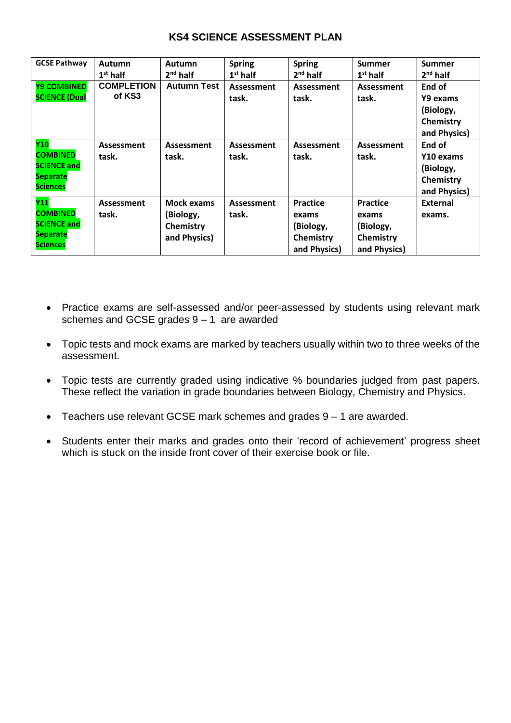### **KS4 SCIENCE ASSESSMENT PLAN**

| <b>GCSE Pathway</b>                                                                | <b>Autumn</b><br>$1st$ half | Autumn<br>$2nd$ half                                 | <b>Spring</b><br>$1st$ half | <b>Spring</b><br>$2nd$ half                                        | <b>Summer</b><br>$1st$ half                                        | <b>Summer</b><br>$2nd$ half                                   |
|------------------------------------------------------------------------------------|-----------------------------|------------------------------------------------------|-----------------------------|--------------------------------------------------------------------|--------------------------------------------------------------------|---------------------------------------------------------------|
| <b>Y9 COMBINED</b><br><b>SCIENCE (Dual</b>                                         | <b>COMPLETION</b><br>of KS3 | <b>Autumn Test</b>                                   | Assessment<br>task.         | Assessment<br>task.                                                | Assessment<br>task.                                                | End of<br>Y9 exams<br>(Biology,<br>Chemistry<br>and Physics)  |
| Y10<br><b>COMBINED</b><br><b>SCIENCE and</b><br>Separate<br><b>Sciences</b>        | <b>Assessment</b><br>task.  | <b>Assessment</b><br>task.                           | <b>Assessment</b><br>task.  | Assessment<br>task.                                                | Assessment<br>task.                                                | End of<br>Y10 exams<br>(Biology,<br>Chemistry<br>and Physics) |
| Y11<br><b>COMBINED</b><br><b>SCIENCE and</b><br><b>Separate</b><br><b>Sciences</b> | <b>Assessment</b><br>task.  | Mock exams<br>(Biology,<br>Chemistry<br>and Physics) | Assessment<br>task.         | <b>Practice</b><br>exams<br>(Biology,<br>Chemistry<br>and Physics) | <b>Practice</b><br>exams<br>(Biology,<br>Chemistry<br>and Physics) | <b>External</b><br>exams.                                     |

- Practice exams are self-assessed and/or peer-assessed by students using relevant mark schemes and GCSE grades 9 – 1 are awarded
- Topic tests and mock exams are marked by teachers usually within two to three weeks of the assessment.
- Topic tests are currently graded using indicative % boundaries judged from past papers. These reflect the variation in grade boundaries between Biology, Chemistry and Physics.
- Teachers use relevant GCSE mark schemes and grades 9 1 are awarded.
- Students enter their marks and grades onto their 'record of achievement' progress sheet which is stuck on the inside front cover of their exercise book or file.